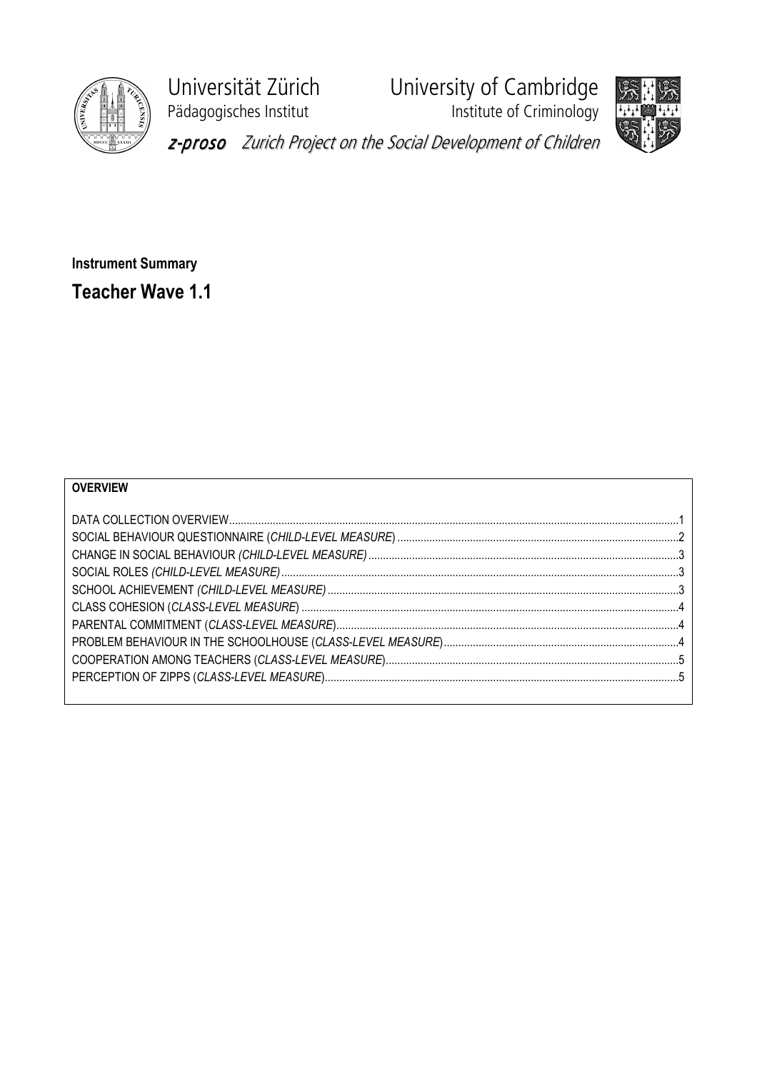

Pädagogisches Institut **Institute of Criminology** 

Universität Zürich University of Cambridge



z-proso Zurich Project on the Social Development of Children

Instrument Summary Teacher Wave 1.1

| <b>OVERVIEW</b> |  |
|-----------------|--|
|                 |  |
|                 |  |
|                 |  |
|                 |  |
|                 |  |
|                 |  |
|                 |  |
|                 |  |
|                 |  |
|                 |  |
|                 |  |
|                 |  |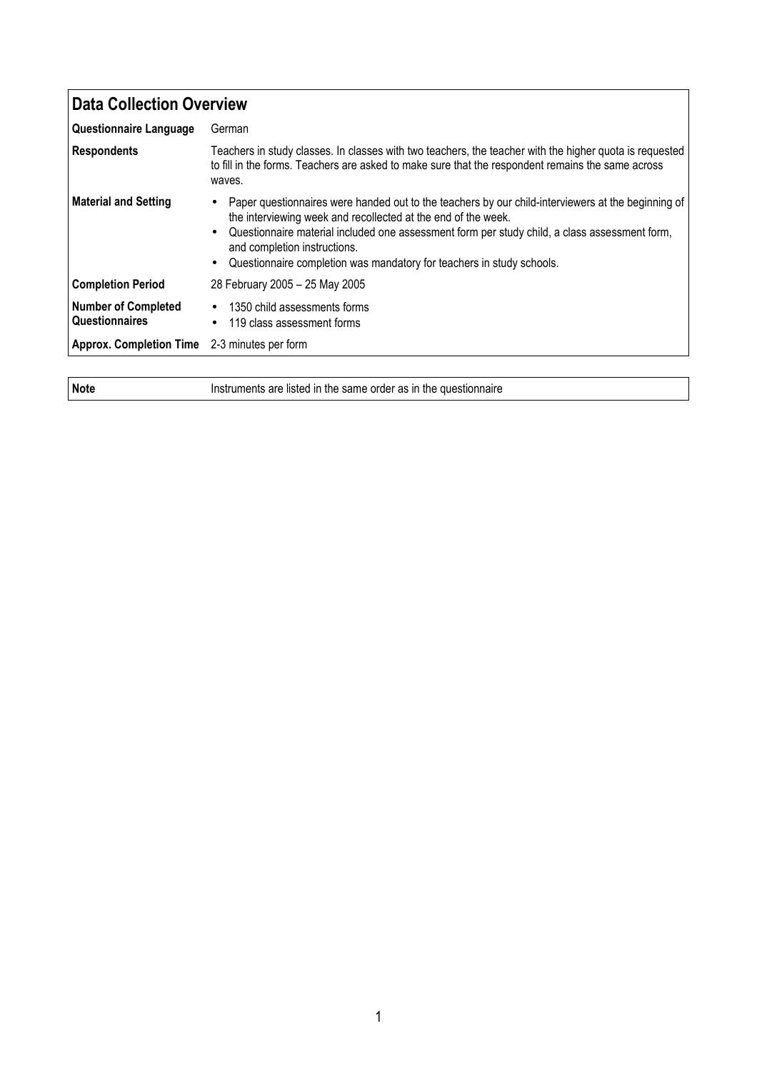| Data Collection Overview                            |                                                                                                                                                                                                                                                                                                                                                                                                              |
|-----------------------------------------------------|--------------------------------------------------------------------------------------------------------------------------------------------------------------------------------------------------------------------------------------------------------------------------------------------------------------------------------------------------------------------------------------------------------------|
| <b>Questionnaire Language</b>                       | German                                                                                                                                                                                                                                                                                                                                                                                                       |
| Respondents                                         | Teachers in study classes. In classes with two teachers, the teacher with the higher quota is requested<br>to fill in the forms. Teachers are asked to make sure that the respondent remains the same across<br>waves.                                                                                                                                                                                       |
| <b>Material and Setting</b>                         | Paper questionnaires were handed out to the teachers by our child-interviewers at the beginning of<br>٠<br>the interviewing week and recollected at the end of the week.<br>Questionnaire material included one assessment form per study child, a class assessment form,<br>$\bullet$<br>and completion instructions.<br>Questionnaire completion was mandatory for teachers in study schools.<br>$\bullet$ |
| <b>Completion Period</b>                            | 28 February 2005 - 25 May 2005                                                                                                                                                                                                                                                                                                                                                                               |
| <b>Number of Completed</b><br><b>Questionnaires</b> | 1350 child assessments forms<br>$\bullet$<br>119 class assessment forms<br>$\bullet$                                                                                                                                                                                                                                                                                                                         |
| <b>Approx. Completion Time</b>                      | 2-3 minutes per form                                                                                                                                                                                                                                                                                                                                                                                         |

Note Instruments are listed in the same order as in the questionnaire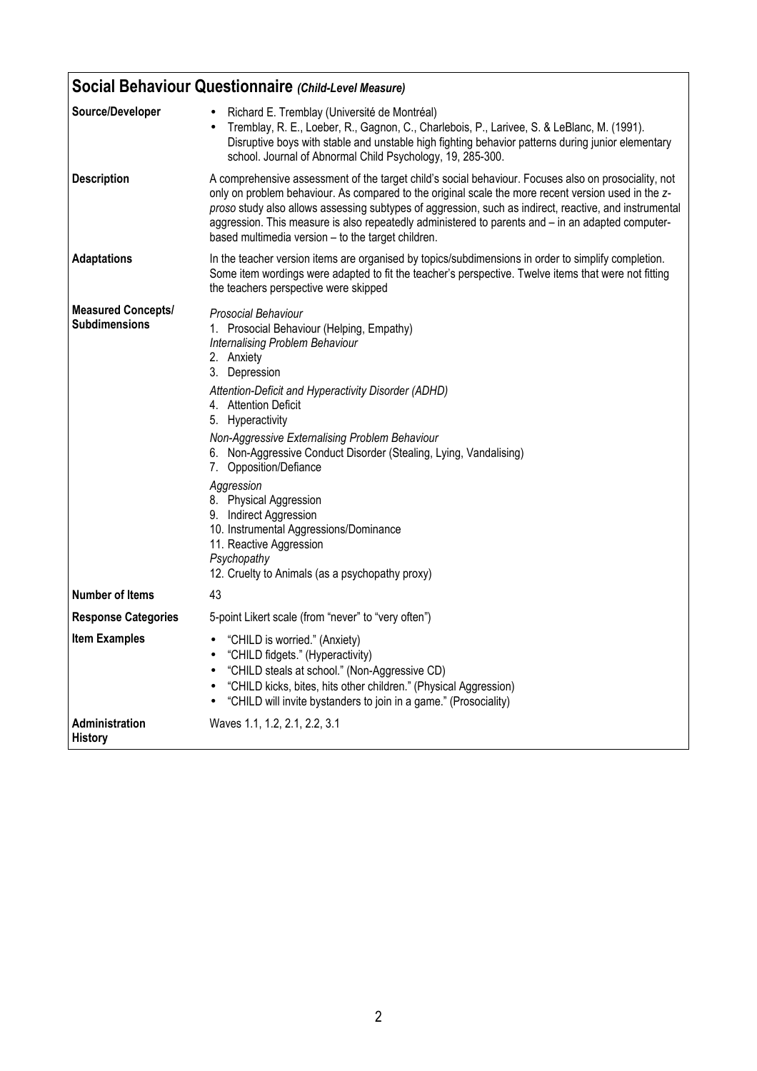|                                                   | Social Behaviour Questionnaire (Child-Level Measure)                                                                                                                                                                                                                                                                                                                                                                                                                                                                                                                                            |  |
|---------------------------------------------------|-------------------------------------------------------------------------------------------------------------------------------------------------------------------------------------------------------------------------------------------------------------------------------------------------------------------------------------------------------------------------------------------------------------------------------------------------------------------------------------------------------------------------------------------------------------------------------------------------|--|
| Source/Developer                                  | Richard E. Tremblay (Université de Montréal)<br>Tremblay, R. E., Loeber, R., Gagnon, C., Charlebois, P., Larivee, S. & LeBlanc, M. (1991).<br>Disruptive boys with stable and unstable high fighting behavior patterns during junior elementary<br>school. Journal of Abnormal Child Psychology, 19, 285-300.                                                                                                                                                                                                                                                                                   |  |
| <b>Description</b>                                | A comprehensive assessment of the target child's social behaviour. Focuses also on prosociality, not<br>only on problem behaviour. As compared to the original scale the more recent version used in the z-<br>proso study also allows assessing subtypes of aggression, such as indirect, reactive, and instrumental<br>aggression. This measure is also repeatedly administered to parents and - in an adapted computer-<br>based multimedia version - to the target children.                                                                                                                |  |
| <b>Adaptations</b>                                | In the teacher version items are organised by topics/subdimensions in order to simplify completion.<br>Some item wordings were adapted to fit the teacher's perspective. Twelve items that were not fitting<br>the teachers perspective were skipped                                                                                                                                                                                                                                                                                                                                            |  |
| <b>Measured Concepts/</b><br><b>Subdimensions</b> | Prosocial Behaviour<br>1. Prosocial Behaviour (Helping, Empathy)<br>Internalising Problem Behaviour<br>2. Anxiety<br>3. Depression<br>Attention-Deficit and Hyperactivity Disorder (ADHD)<br>4. Attention Deficit<br>5. Hyperactivity<br>Non-Aggressive Externalising Problem Behaviour<br>6. Non-Aggressive Conduct Disorder (Stealing, Lying, Vandalising)<br>7. Opposition/Defiance<br>Aggression<br>8. Physical Aggression<br>9. Indirect Aggression<br>10. Instrumental Aggressions/Dominance<br>11. Reactive Aggression<br>Psychopathy<br>12. Cruelty to Animals (as a psychopathy proxy) |  |
| <b>Number of Items</b>                            | 43                                                                                                                                                                                                                                                                                                                                                                                                                                                                                                                                                                                              |  |
| <b>Response Categories</b>                        | 5-point Likert scale (from "never" to "very often")                                                                                                                                                                                                                                                                                                                                                                                                                                                                                                                                             |  |
| <b>Item Examples</b>                              | • "CHILD is worried." (Anxiety)<br>"CHILD fidgets." (Hyperactivity)<br>"CHILD steals at school." (Non-Aggressive CD)<br>"CHILD kicks, bites, hits other children." (Physical Aggression)<br>"CHILD will invite bystanders to join in a game." (Prosociality)                                                                                                                                                                                                                                                                                                                                    |  |
| <b>Administration</b><br><b>History</b>           | Waves 1.1, 1.2, 2.1, 2.2, 3.1                                                                                                                                                                                                                                                                                                                                                                                                                                                                                                                                                                   |  |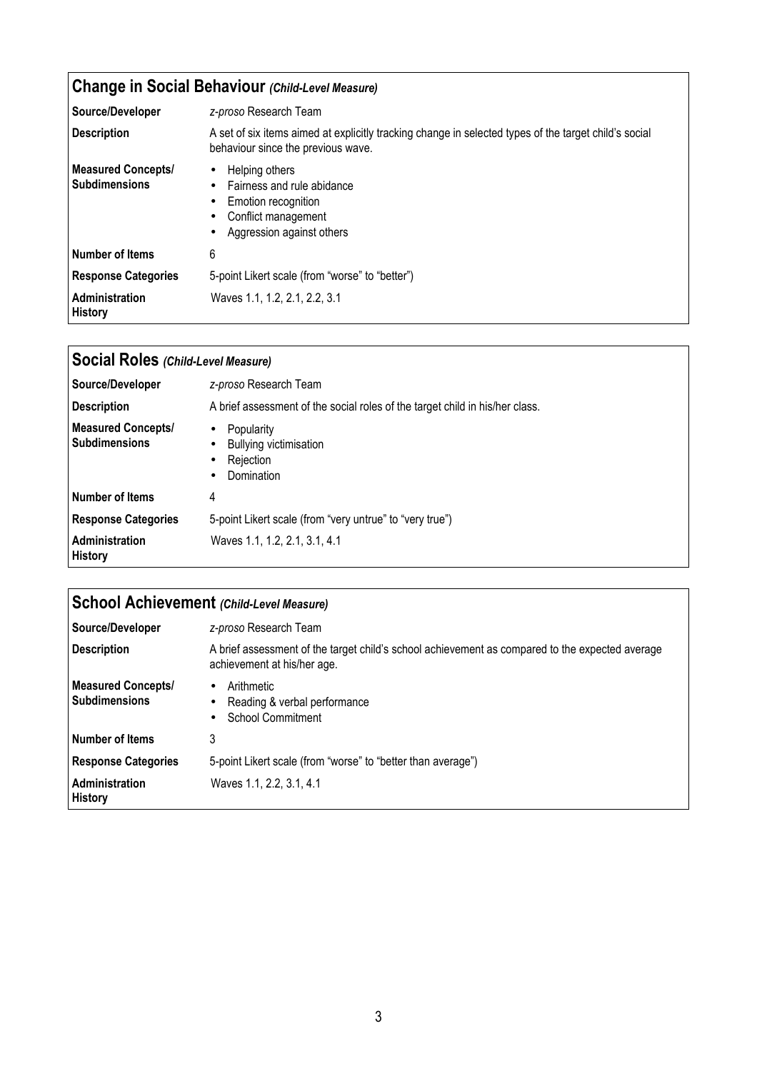## Change in Social Behaviour (Child-Level Measure)

| Source/Developer                                  | z-proso Research Team                                                                                                                                                    |
|---------------------------------------------------|--------------------------------------------------------------------------------------------------------------------------------------------------------------------------|
| <b>Description</b>                                | A set of six items aimed at explicitly tracking change in selected types of the target child's social<br>behaviour since the previous wave.                              |
| <b>Measured Concepts/</b><br><b>Subdimensions</b> | Helping others<br>$\bullet$<br>Fairness and rule abidance<br>$\bullet$<br>Emotion recognition<br>$\bullet$<br>Conflict management<br>٠<br>Aggression against others<br>٠ |
| Number of Items                                   | 6                                                                                                                                                                        |
| <b>Response Categories</b>                        | 5-point Likert scale (from "worse" to "better")                                                                                                                          |
| Administration<br><b>History</b>                  | Waves 1.1, 1.2, 2.1, 2.2, 3.1                                                                                                                                            |

| Social Roles (Child-Level Measure)                |                                                                                                                            |
|---------------------------------------------------|----------------------------------------------------------------------------------------------------------------------------|
| Source/Developer                                  | z-proso Research Team                                                                                                      |
| <b>Description</b>                                | A brief assessment of the social roles of the target child in his/her class.                                               |
| <b>Measured Concepts/</b><br><b>Subdimensions</b> | Popularity<br>$\bullet$<br><b>Bullying victimisation</b><br>$\bullet$<br>Rejection<br>$\bullet$<br>Domination<br>$\bullet$ |
| l Number of Items                                 | 4                                                                                                                          |
| <b>Response Categories</b>                        | 5-point Likert scale (from "very untrue" to "very true")                                                                   |
| Administration<br><b>History</b>                  | Waves 1.1, 1.2, 2.1, 3.1, 4.1                                                                                              |

| School Achievement (Child-Level Measure)          |                                                                                                                                |
|---------------------------------------------------|--------------------------------------------------------------------------------------------------------------------------------|
| Source/Developer                                  | z-proso Research Team                                                                                                          |
| <b>Description</b>                                | A brief assessment of the target child's school achievement as compared to the expected average<br>achievement at his/her age. |
| <b>Measured Concepts/</b><br><b>Subdimensions</b> | Arithmetic<br>$\bullet$<br>Reading & verbal performance<br>٠<br>School Commitment                                              |
| l Number of Items                                 | 3                                                                                                                              |
| <b>Response Categories</b>                        | 5-point Likert scale (from "worse" to "better than average")                                                                   |
| Administration<br><b>History</b>                  | Waves 1.1, 2.2, 3.1, 4.1                                                                                                       |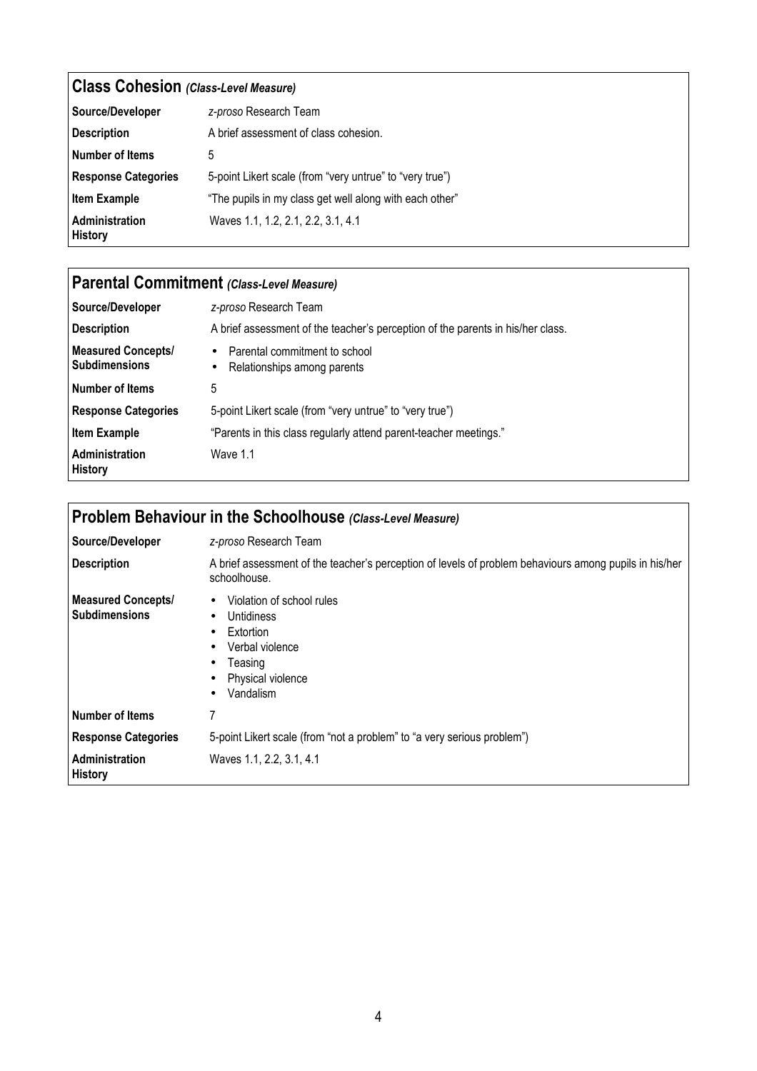| <b>Class Cohesion (Class-Level Measure)</b> |                                                          |
|---------------------------------------------|----------------------------------------------------------|
| Source/Developer                            | z-proso Research Team                                    |
| <b>Description</b>                          | A brief assessment of class cohesion.                    |
| Number of Items                             | 5                                                        |
| <b>Response Categories</b>                  | 5-point Likert scale (from "very untrue" to "very true") |
| <b>Item Example</b>                         | "The pupils in my class get well along with each other"  |
| Administration<br><b>History</b>            | Waves 1.1, 1.2, 2.1, 2.2, 3.1, 4.1                       |

| Parental Commitment (Class-Level Measure)         |                                                                                 |
|---------------------------------------------------|---------------------------------------------------------------------------------|
| Source/Developer                                  | z-proso Research Team                                                           |
| <b>Description</b>                                | A brief assessment of the teacher's perception of the parents in his/her class. |
| <b>Measured Concepts/</b><br><b>Subdimensions</b> | Parental commitment to school<br>$\bullet$<br>Relationships among parents<br>٠  |
| l Number of Items                                 | 5                                                                               |
| <b>Response Categories</b>                        | 5-point Likert scale (from "very untrue" to "very true")                        |
| <b>Item Example</b>                               | "Parents in this class regularly attend parent-teacher meetings."               |
| Administration<br><b>History</b>                  | Wave 1.1                                                                        |

| Problem Behaviour in the Schoolhouse (Class-Level Measure) |                                                                                                                                                                                                   |
|------------------------------------------------------------|---------------------------------------------------------------------------------------------------------------------------------------------------------------------------------------------------|
| Source/Developer                                           | z-proso Research Team                                                                                                                                                                             |
| <b>Description</b>                                         | A brief assessment of the teacher's perception of levels of problem behaviours among pupils in his/her<br>schoolhouse.                                                                            |
| <b>Measured Concepts/</b><br><b>Subdimensions</b>          | Violation of school rules<br>$\bullet$<br><b>Untidiness</b><br>$\bullet$<br>Extortion<br>$\bullet$<br>Verbal violence<br>$\bullet$<br>Teasing<br>٠<br>Physical violence<br>Vandalism<br>$\bullet$ |
| <b>Number of Items</b>                                     |                                                                                                                                                                                                   |
| <b>Response Categories</b>                                 | 5-point Likert scale (from "not a problem" to "a very serious problem")                                                                                                                           |
| <b>Administration</b><br><b>History</b>                    | Waves 1.1, 2.2, 3.1, 4.1                                                                                                                                                                          |